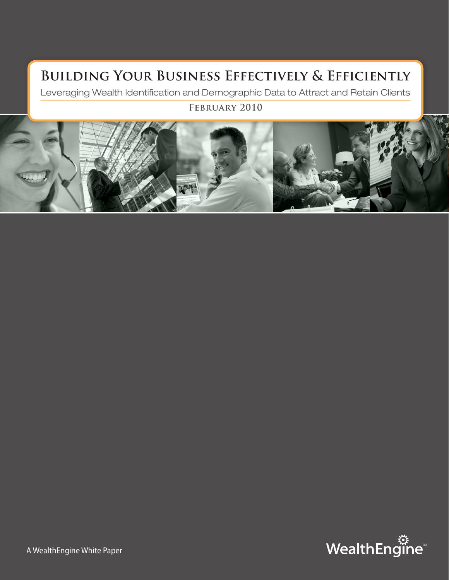## **Building Your Business Effectively & Efficiently**

Leveraging Wealth Identification and Demographic Data to Attract and Retain Clients

### **February 2010**



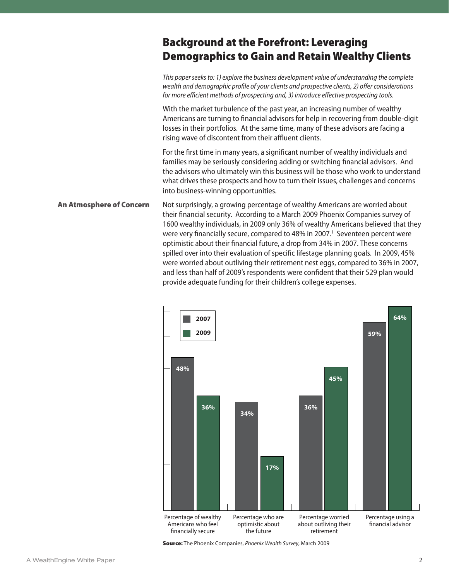## Background at the Forefront: Leveraging Demographics to Gain and Retain Wealthy Clients

*This paper seeks to: 1) explore the business development value of understanding the complete wealth and demographic profile of your clients and prospective clients, 2) offer considerations for more efficient methods of prospecting and, 3) introduce effective prospecting tools.* With the market turbulence of the past year, an increasing number of wealthy Americans are turning to financial advisors for help in recovering from double-digit losses in their portfolios. At the same time, many of these advisors are facing a rising wave of discontent from their affluent clients.

> For the first time in many years, a significant number of wealthy individuals and families may be seriously considering adding or switching financial advisors. And the advisors who ultimately win this business will be those who work to understand what drives these prospects and how to turn their issues, challenges and concerns into business-winning opportunities.

Not surprisingly, a growing percentage of wealthy Americans are worried about their financial security. According to a March 2009 Phoenix Companies survey of 1600 wealthy individuals, in 2009 only 36% of wealthy Americans believed that they were very financially secure, compared to 48% in 2007.<sup>1</sup> Seventeen percent were optimistic about their financial future, a drop from 34% in 2007. These concerns spilled over into their evaluation of specific lifestage planning goals. In 2009, 45% were worried about outliving their retirement nest eggs, compared to 36% in 2007, and less than half of 2009's respondents were confident that their 529 plan would provide adequate funding for their children's college expenses. An Atmosphere of Concern



Source: The Phoenix Companies, *Phoenix Wealth Survey*, March 2009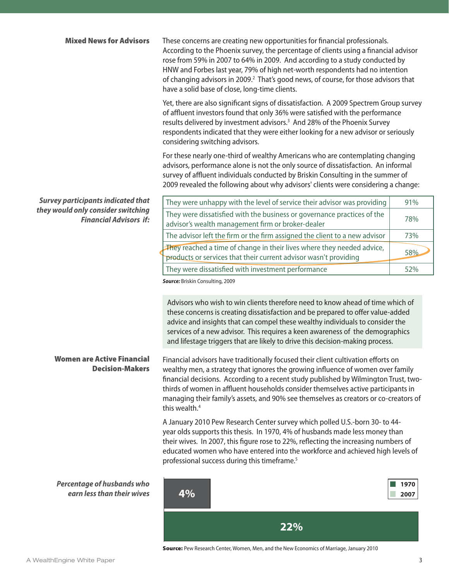| <b>Mixed News for Advisors</b>                                      | These concerns are creating new opportunities for financial professionals.<br>According to the Phoenix survey, the percentage of clients using a financial advisor<br>rose from 59% in 2007 to 64% in 2009. And according to a study conducted by<br>HNW and Forbes last year, 79% of high net-worth respondents had no intention<br>of changing advisors in 2009. <sup>2</sup> That's good news, of course, for those advisors that<br>have a solid base of close, long-time clients. |              |  |  |
|---------------------------------------------------------------------|----------------------------------------------------------------------------------------------------------------------------------------------------------------------------------------------------------------------------------------------------------------------------------------------------------------------------------------------------------------------------------------------------------------------------------------------------------------------------------------|--------------|--|--|
|                                                                     | Yet, there are also significant signs of dissatisfaction. A 2009 Spectrem Group survey<br>of affluent investors found that only 36% were satisfied with the performance<br>results delivered by investment advisors. <sup>3</sup> And 28% of the Phoenix Survey<br>respondents indicated that they were either looking for a new advisor or seriously<br>considering switching advisors.                                                                                               |              |  |  |
|                                                                     | For these nearly one-third of wealthy Americans who are contemplating changing<br>advisors, performance alone is not the only source of dissatisfaction. An informal<br>survey of affluent individuals conducted by Briskin Consulting in the summer of<br>2009 revealed the following about why advisors' clients were considering a change:                                                                                                                                          |              |  |  |
| <b>Survey participants indicated that</b>                           | They were unhappy with the level of service their advisor was providing                                                                                                                                                                                                                                                                                                                                                                                                                | 91%          |  |  |
| they would only consider switching<br><b>Financial Advisors if:</b> | They were dissatisfied with the business or governance practices of the<br>advisor's wealth management firm or broker-dealer                                                                                                                                                                                                                                                                                                                                                           | 78%          |  |  |
|                                                                     | The advisor left the firm or the firm assigned the client to a new advisor                                                                                                                                                                                                                                                                                                                                                                                                             | 73%          |  |  |
|                                                                     | They reached a time of change in their lives where they needed advice,<br>products or services that their current advisor wasn't providing                                                                                                                                                                                                                                                                                                                                             | 58%          |  |  |
|                                                                     | They were dissatisfied with investment performance                                                                                                                                                                                                                                                                                                                                                                                                                                     | 52%          |  |  |
|                                                                     | Source: Briskin Consulting, 2009<br>Advisors who wish to win clients therefore need to know ahead of time which of<br>these concerns is creating dissatisfaction and be prepared to offer value-added<br>advice and insights that can compel these wealthy individuals to consider the<br>services of a new advisor. This requires a keen awareness of the demographics<br>and lifestage triggers that are likely to drive this decision-making process.                               |              |  |  |
| <b>Women are Active Financial</b><br><b>Decision-Makers</b>         | Financial advisors have traditionally focused their client cultivation efforts on<br>wealthy men, a strategy that ignores the growing influence of women over family<br>financial decisions. According to a recent study published by Wilmington Trust, two-<br>thirds of women in affluent households consider themselves active participants in<br>managing their family's assets, and 90% see themselves as creators or co-creators of<br>this wealth. <sup>4</sup>                 |              |  |  |
|                                                                     | A January 2010 Pew Research Center survey which polled U.S.-born 30- to 44-<br>year olds supports this thesis. In 1970, 4% of husbands made less money than<br>their wives. In 2007, this figure rose to 22%, reflecting the increasing numbers of<br>educated women who have entered into the workforce and achieved high levels of<br>professional success during this timeframe. <sup>5</sup>                                                                                       |              |  |  |
| <b>Percentage of husbands who</b><br>earn less than their wives     | 4%                                                                                                                                                                                                                                                                                                                                                                                                                                                                                     | 1970<br>2007 |  |  |

**22%**

Source: Pew Research Center, Women, Men, and the New Economics of Marriage, January 2010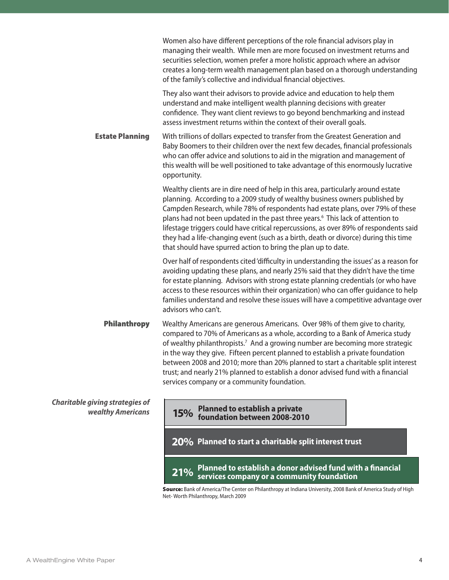|                                                             | Women also have different perceptions of the role financial advisors play in<br>managing their wealth. While men are more focused on investment returns and<br>securities selection, women prefer a more holistic approach where an advisor<br>creates a long-term wealth management plan based on a thorough understanding<br>of the family's collective and individual financial objectives.                                                                                                                                                                                                    |
|-------------------------------------------------------------|---------------------------------------------------------------------------------------------------------------------------------------------------------------------------------------------------------------------------------------------------------------------------------------------------------------------------------------------------------------------------------------------------------------------------------------------------------------------------------------------------------------------------------------------------------------------------------------------------|
|                                                             | They also want their advisors to provide advice and education to help them<br>understand and make intelligent wealth planning decisions with greater<br>confidence. They want client reviews to go beyond benchmarking and instead<br>assess investment returns within the context of their overall goals.                                                                                                                                                                                                                                                                                        |
| <b>Estate Planning</b>                                      | With trillions of dollars expected to transfer from the Greatest Generation and<br>Baby Boomers to their children over the next few decades, financial professionals<br>who can offer advice and solutions to aid in the migration and management of<br>this wealth will be well positioned to take advantage of this enormously lucrative<br>opportunity.                                                                                                                                                                                                                                        |
|                                                             | Wealthy clients are in dire need of help in this area, particularly around estate<br>planning. According to a 2009 study of wealthy business owners published by<br>Campden Research, while 78% of respondents had estate plans, over 79% of these<br>plans had not been updated in the past three years. <sup>6</sup> This lack of attention to<br>lifestage triggers could have critical repercussions, as over 89% of respondents said<br>they had a life-changing event (such as a birth, death or divorce) during this time<br>that should have spurred action to bring the plan up to date. |
|                                                             | Over half of respondents cited 'difficulty in understanding the issues' as a reason for<br>avoiding updating these plans, and nearly 25% said that they didn't have the time<br>for estate planning. Advisors with strong estate planning credentials (or who have<br>access to these resources within their organization) who can offer guidance to help<br>families understand and resolve these issues will have a competitive advantage over<br>advisors who can't.                                                                                                                           |
| <b>Philanthropy</b>                                         | Wealthy Americans are generous Americans. Over 98% of them give to charity,<br>compared to 70% of Americans as a whole, according to a Bank of America study<br>of wealthy philanthropists. <sup>7</sup> And a growing number are becoming more strategic<br>in the way they give. Fifteen percent planned to establish a private foundation<br>between 2008 and 2010; more than 20% planned to start a charitable split interest<br>trust; and nearly 21% planned to establish a donor advised fund with a financial<br>services company or a community foundation.                              |
| <b>Charitable giving strategies of</b><br>wealthy Americans | 15% Planned to establish a private<br>foundation between 2008-2010                                                                                                                                                                                                                                                                                                                                                                                                                                                                                                                                |
|                                                             | 20% Planned to start a charitable split interest trust                                                                                                                                                                                                                                                                                                                                                                                                                                                                                                                                            |
|                                                             | Planned to establish a donor advised fund with a financial<br>21%<br>services company or a community foundation                                                                                                                                                                                                                                                                                                                                                                                                                                                                                   |

Source: Bank of America/The Center on Philanthropy at Indiana University, 2008 Bank of America Study of High Net- Worth Philanthropy, March 2009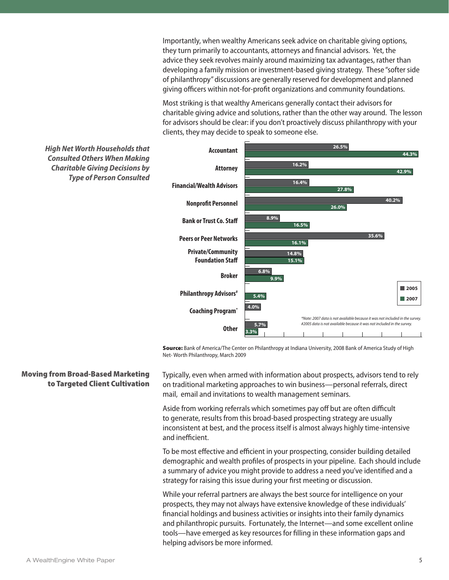Importantly, when wealthy Americans seek advice on charitable giving options, they turn primarily to accountants, attorneys and financial advisors. Yet, the advice they seek revolves mainly around maximizing tax advantages, rather than developing a family mission or investment-based giving strategy. These "softer side of philanthropy" discussions are generally reserved for development and planned giving officers within not-for-profit organizations and community foundations.

Most striking is that wealthy Americans generally contact their advisors for charitable giving advice and solutions, rather than the other way around. The lesson for advisors should be clear: if you don't proactively discuss philanthropy with your clients, they may decide to speak to someone else.



Source: Bank of America/The Center on Philanthropy at Indiana University, 2008 Bank of America Study of High Net- Worth Philanthropy, March 2009

Typically, even when armed with information about prospects, advisors tend to rely on traditional marketing approaches to win business—personal referrals, direct mail, email and invitations to wealth management seminars.

Aside from working referrals which sometimes pay off but are often difficult to generate, results from this broad-based prospecting strategy are usually inconsistent at best, and the process itself is almost always highly time-intensive and inefficient.

To be most effective and efficient in your prospecting, consider building detailed demographic and wealth profiles of prospects in your pipeline. Each should include a summary of advice you might provide to address a need you've identified and a strategy for raising this issue during your first meeting or discussion.

While your referral partners are always the best source for intelligence on your prospects, they may not always have extensive knowledge of these individuals' financial holdings and business activities or insights into their family dynamics and philanthropic pursuits. Fortunately, the Internet—and some excellent online tools—have emerged as key resources for filling in these information gaps and helping advisors be more informed.

Moving from Broad-Based Marketing

to Targeted Client Cultivation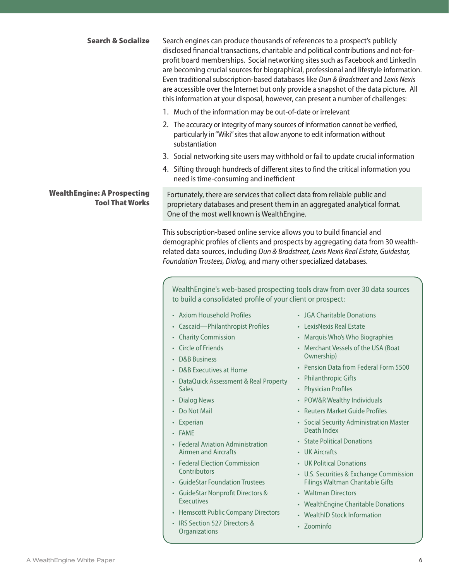| <b>Search &amp; Socialize</b>                                | Search engines can produce thousands of references to a prospect's publicly<br>disclosed financial transactions, charitable and political contributions and not-for-<br>profit board memberships. Social networking sites such as Facebook and LinkedIn<br>are becoming crucial sources for biographical, professional and lifestyle information.<br>Even traditional subscription-based databases like Dun & Bradstreet and Lexis Nexis<br>are accessible over the Internet but only provide a snapshot of the data picture. All<br>this information at your disposal, however, can present a number of challenges: |
|--------------------------------------------------------------|----------------------------------------------------------------------------------------------------------------------------------------------------------------------------------------------------------------------------------------------------------------------------------------------------------------------------------------------------------------------------------------------------------------------------------------------------------------------------------------------------------------------------------------------------------------------------------------------------------------------|
|                                                              | 1. Much of the information may be out-of-date or irrelevant                                                                                                                                                                                                                                                                                                                                                                                                                                                                                                                                                          |
|                                                              | 2. The accuracy or integrity of many sources of information cannot be verified,<br>particularly in "Wiki" sites that allow anyone to edit information without<br>substantiation                                                                                                                                                                                                                                                                                                                                                                                                                                      |
|                                                              | 3. Social networking site users may withhold or fail to update crucial information                                                                                                                                                                                                                                                                                                                                                                                                                                                                                                                                   |
|                                                              | 4. Sifting through hundreds of different sites to find the critical information you<br>need is time-consuming and inefficient                                                                                                                                                                                                                                                                                                                                                                                                                                                                                        |
| <b>WealthEngine: A Prospecting</b><br><b>Tool That Works</b> | Fortunately, there are services that collect data from reliable public and<br>proprietary databases and present them in an aggregated analytical format.<br>One of the most well known is WealthEngine.                                                                                                                                                                                                                                                                                                                                                                                                              |
|                                                              | This subscription-based online service allows you to build financial and<br>demographic profiles of clients and prospects by aggregating data from 30 wealth-<br>related data sources, including Dun & Bradstreet, Lexis Nexis Real Estate, Guidestar,                                                                                                                                                                                                                                                                                                                                                               |

*Foundation Trustees, Dialog,* and many other specialized databases.

WealthEngine's web-based prospecting tools draw from over 30 data sources to build a consolidated profile of your client or prospect:

- Axiom Household Profiles
- Cascaid—Philanthropist Profiles
- Charity Commission
- Circle of Friends
- D&B Business
- D&B Executives at Home
- DataQuick Assessment & Real Property **Sales**
- Dialog News
- Do Not Mail
- Experian
- FAME
- Federal Aviation Administration Airmen and Aircrafts
- Federal Election Commission **Contributors**
- GuideStar Foundation Trustees
- GuideStar Nonprofit Directors & **Executives**
- Hemscott Public Company Directors
- IRS Section 527 Directors & **Organizations**
- JGA Charitable Donations
- LexisNexis Real Estate
- Marquis Who's Who Biographies
- Merchant Vessels of the USA (Boat Ownership)
- Pension Data from Federal Form 5500
- Philanthropic Gifts
- Physician Profiles
- POW&R Wealthy Individuals
- Reuters Market Guide Profiles
- Social Security Administration Master Death Index
- State Political Donations
- UK Aircrafts
- UK Political Donations
- U.S. Securities & Exchange Commission Filings Waltman Charitable Gifts
- Waltman Directors
- WealthEngine Charitable Donations
- WealthID Stock Information
- Zoominfo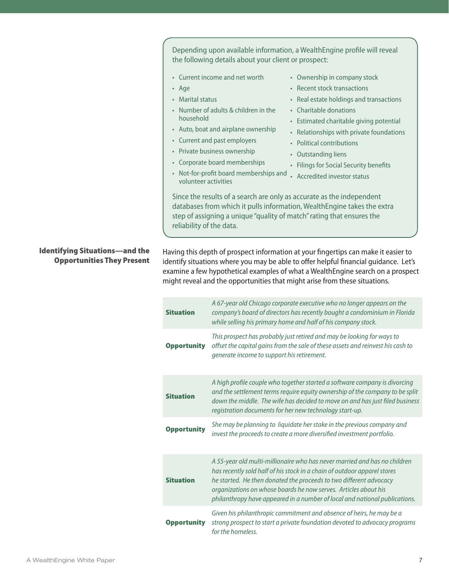Depending upon available information, a WealthEngine profile will reveal the following details about your client or prospect:

- Current income and net worth
- Age
- Marital status
- Number of adults & children in the household
- Auto, boat and airplane ownership
- Current and past employers
- Private business ownership
- Corporate board memberships
- Ownership in company stock
- Recent stock transactions
- Real estate holdings and transactions
- Charitable donations
- Estimated charitable giving potential
- Relationships with private foundations
- Political contributions
- Outstanding liens
- Filings for Social Security benefits
- Not-for-profit board memberships and volunteer activities • Accredited investor status

Since the results of a search are only as accurate as the independent databases from which it pulls information, WealthEngine takes the extra step of assigning a unique "quality of match" rating that ensures the reliability of the data.

Identifying Situations—and the Opportunities They Present Having this depth of prospect information at your fingertips can make it easier to identify situations where you may be able to offer helpful financial guidance. Let's examine a few hypothetical examples of what a WealthEngine search on a prospect might reveal and the opportunities that might arise from these situations.

| <b>Situation</b>   | A 67-year old Chicago corporate executive who no longer appears on the<br>company's board of directors has recently bought a condominium in Florida<br>while selling his primary home and half of his company stock.                                                                                                                                                         |
|--------------------|------------------------------------------------------------------------------------------------------------------------------------------------------------------------------------------------------------------------------------------------------------------------------------------------------------------------------------------------------------------------------|
| <b>Opportunity</b> | This prospect has probably just retired and may be looking for ways to<br>offset the capital gains from the sale of these assets and reinvest his cash to<br>generate income to support his retirement.                                                                                                                                                                      |
| <b>Situation</b>   | A high profile couple who together started a software company is divorcing<br>and the settlement terms require equity ownership of the company to be split<br>down the middle. The wife has decided to move on and has just filed business<br>registration documents for her new technology start-up.                                                                        |
| <b>Opportunity</b> | She may be planning to liquidate her stake in the previous company and<br>invest the proceeds to create a more diversified investment portfolio.                                                                                                                                                                                                                             |
| <b>Situation</b>   | A 55-year old multi-millionaire who has never married and has no children<br>has recently sold half of his stock in a chain of outdoor apparel stores<br>he started. He then donated the proceeds to two different advocacy<br>organizations on whose boards he now serves. Articles about his<br>philanthropy have appeared in a number of local and national publications. |
| <b>Opportunity</b> | Given his philanthropic commitment and absence of heirs, he may be a<br>strong prospect to start a private foundation devoted to advocacy programs<br>for the homeless.                                                                                                                                                                                                      |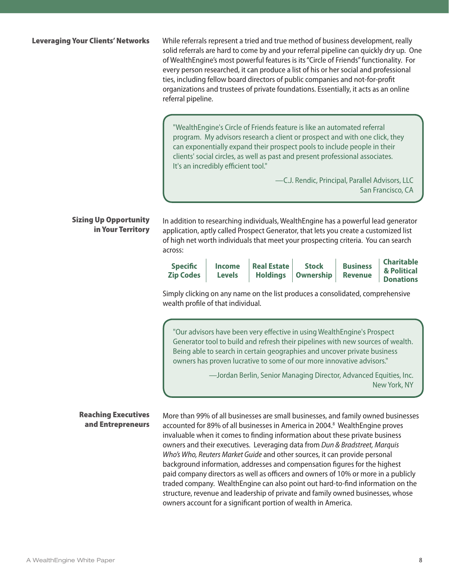While referrals represent a tried and true method of business development, really solid referrals are hard to come by and your referral pipeline can quickly dry up. One of WealthEngine's most powerful features is its "Circle of Friends" functionality. For every person researched, it can produce a list of his or her social and professional ties, including fellow board directors of public companies and not-for-profit organizations and trustees of private foundations. Essentially, it acts as an online referral pipeline.

"WealthEngine's Circle of Friends feature is like an automated referral program. My advisors research a client or prospect and with one click, they can exponentially expand their prospect pools to include people in their clients' social circles, as well as past and present professional associates. It's an incredibly efficient tool."

> —C.J. Rendic, Principal, Parallel Advisors, LLC San Francisco, CA

Sizing Up Opportunity in Your Territory

In addition to researching individuals, WealthEngine has a powerful lead generator application, aptly called Prospect Generator, that lets you create a customized list of high net worth individuals that meet your prospecting criteria. You can search across:

| <b>Specific</b><br><b>Zip Codes</b> | <b>Income</b><br><b>Levels</b> | Real Estate | <b>Stock</b><br>Holdings   Ownership   Revenue | <b>Business</b> | Charitable<br>& Political<br><b>Donations</b> |
|-------------------------------------|--------------------------------|-------------|------------------------------------------------|-----------------|-----------------------------------------------|
|-------------------------------------|--------------------------------|-------------|------------------------------------------------|-----------------|-----------------------------------------------|

Simply clicking on any name on the list produces a consolidated, comprehensive wealth profile of that individual.

"Our advisors have been very effective in using WealthEngine's Prospect Generator tool to build and refresh their pipelines with new sources of wealth. Being able to search in certain geographies and uncover private business owners has proven lucrative to some of our more innovative advisors."

> —Jordan Berlin, Senior Managing Director, Advanced Equities, Inc. New York, NY

More than 99% of all businesses are small businesses, and family owned businesses accounted for 89% of all businesses in America in 2004.<sup>8</sup> WealthEngine proves invaluable when it comes to finding information about these private business owners and their executives. Leveraging data from *Dun & Bradstreet, Marquis Who's Who, Reuters Market Guide* and other sources, it can provide personal background information, addresses and compensation figures for the highest paid company directors as well as officers and owners of 10% or more in a publicly traded company. WealthEngine can also point out hard-to-find information on the structure, revenue and leadership of private and family owned businesses, whose owners account for a significant portion of wealth in America.

### Reaching Executives and Entrepreneurs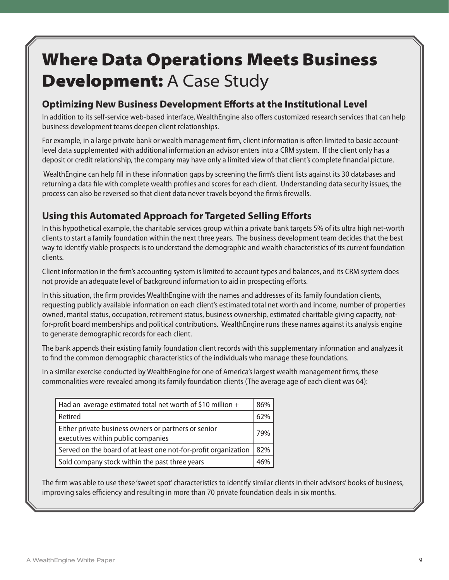# Where Data Operations Meets Business **Development: A Case Study**

### **Optimizing New Business Development Efforts at the Institutional Level**

In addition to its self-service web-based interface, WealthEngine also offers customized research services that can help business development teams deepen client relationships.

For example, in a large private bank or wealth management firm, client information is often limited to basic accountlevel data supplemented with additional information an advisor enters into a CRM system. If the client only has a deposit or credit relationship, the company may have only a limited view of that client's complete financial picture.

 WealthEngine can help fill in these information gaps by screening the firm's client lists against its 30 databases and returning a data file with complete wealth profiles and scores for each client. Understanding data security issues, the process can also be reversed so that client data never travels beyond the firm's firewalls.

## **Using this Automated Approach for Targeted Selling Efforts**

In this hypothetical example, the charitable services group within a private bank targets 5% of its ultra high net-worth clients to start a family foundation within the next three years. The business development team decides that the best way to identify viable prospects is to understand the demographic and wealth characteristics of its current foundation clients.

Client information in the firm's accounting system is limited to account types and balances, and its CRM system does not provide an adequate level of background information to aid in prospecting efforts.

In this situation, the firm provides WealthEngine with the names and addresses of its family foundation clients, requesting publicly available information on each client's estimated total net worth and income, number of properties owned, marital status, occupation, retirement status, business ownership, estimated charitable giving capacity, notfor-profit board memberships and political contributions. WealthEngine runs these names against its analysis engine to generate demographic records for each client.

The bank appends their existing family foundation client records with this supplementary information and analyzes it to find the common demographic characteristics of the individuals who manage these foundations.

In a similar exercise conducted by WealthEngine for one of America's largest wealth management firms, these commonalities were revealed among its family foundation clients (The average age of each client was 64):

| $\vert$ Had an average estimated total net worth of \$10 million +                         | 86% |
|--------------------------------------------------------------------------------------------|-----|
| Retired                                                                                    | 62% |
| Either private business owners or partners or senior<br>executives within public companies | 79% |
| Served on the board of at least one not-for-profit organization                            | 82% |
| Sold company stock within the past three years                                             | 46% |

The firm was able to use these 'sweet spot' characteristics to identify similar clients in their advisors' books of business, improving sales efficiency and resulting in more than 70 private foundation deals in six months.